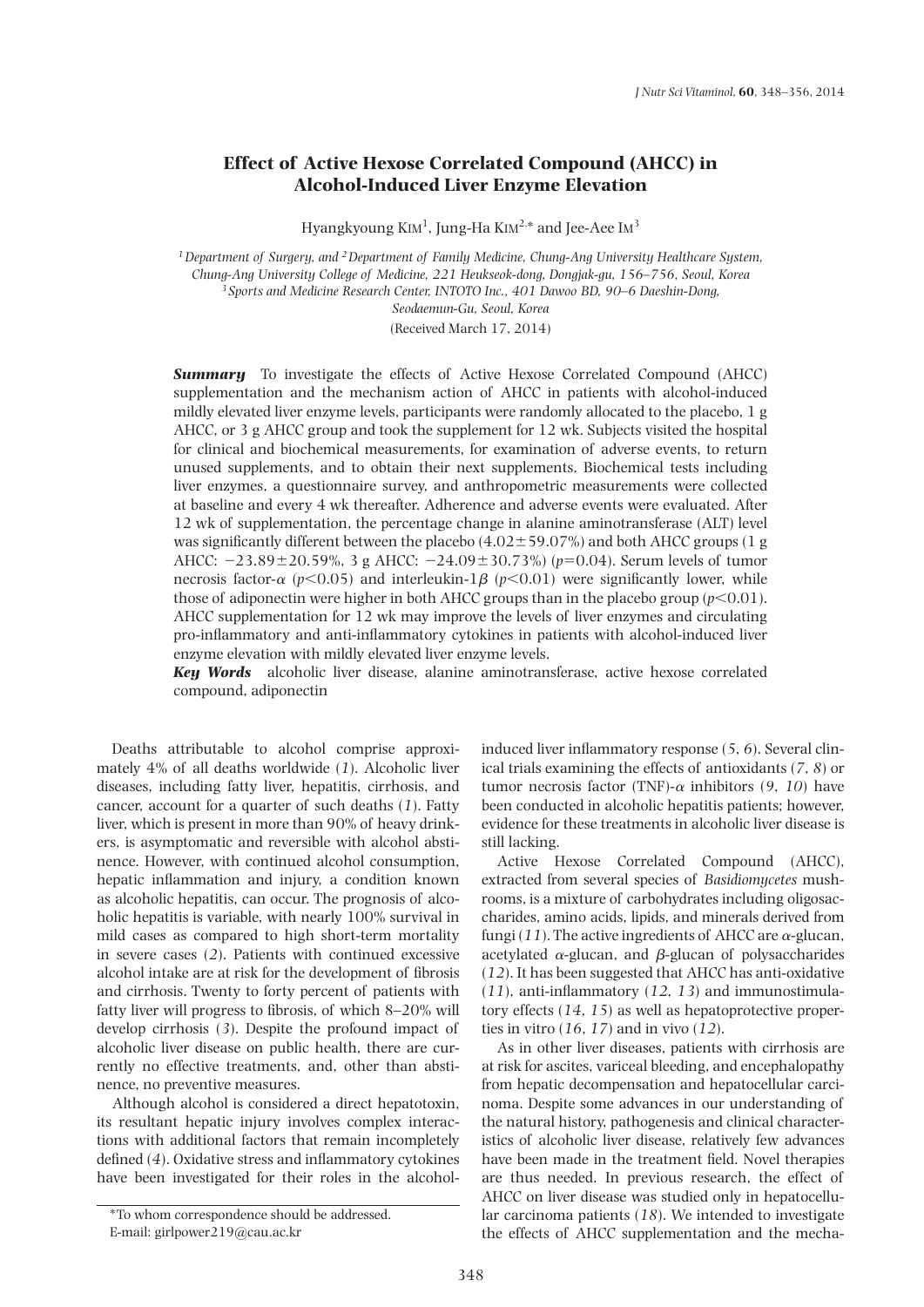# **Effect of Active Hexose Correlated Compound (AHCC) in Alcohol-Induced Liver Enzyme Elevation**

Hyangkyoung  $KIM<sup>1</sup>$ , Jung-Ha  $KIM<sup>2,*</sup>$  and Jee-Aee I $M<sup>3</sup>$ 

*1Department of Surgery, and 2Department of Family Medicine, Chung-Ang University Healthcare System, Chung-Ang University College of Medicine, 221 Heukseok-dong, Dongjak-gu, 156–756, Seoul, Korea <sup>3</sup> Sports and Medicine Research Center, INTOTO Inc., 401 Dawoo BD, 90–6 Daeshin-Dong, Seodaemun-Gu, Seoul, Korea*

(Received March 17, 2014)

**Summary** To investigate the effects of Active Hexose Correlated Compound (AHCC) supplementation and the mechanism action of AHCC in patients with alcohol-induced mildly elevated liver enzyme levels, participants were randomly allocated to the placebo, 1 g AHCC, or 3 g AHCC group and took the supplement for 12 wk. Subjects visited the hospital for clinical and biochemical measurements, for examination of adverse events, to return unused supplements, and to obtain their next supplements. Biochemical tests including liver enzymes, a questionnaire survey, and anthropometric measurements were collected at baseline and every 4 wk thereafter. Adherence and adverse events were evaluated. After 12 wk of supplementation, the percentage change in alanine aminotransferase (ALT) level was significantly different between the placebo  $(4.02 \pm 59.07\%)$  and both AHCC groups (1 g AHCC:  $-23.89 \pm 20.59$ %, 3 g AHCC:  $-24.09 \pm 30.73$ %) ( $p=0.04$ ). Serum levels of tumor necrosis factor- $\alpha$  ( $p$ <0.05) and interleukin-1 $\beta$  ( $p$ <0.01) were significantly lower, while those of adiponectin were higher in both AHCC groups than in the placebo group ( $p$ <0.01). AHCC supplementation for 12 wk may improve the levels of liver enzymes and circulating pro-inflammatory and anti-inflammatory cytokines in patients with alcohol-induced liver enzyme elevation with mildly elevated liver enzyme levels.

*Key Words* alcoholic liver disease, alanine aminotransferase, active hexose correlated compound, adiponectin

Deaths attributable to alcohol comprise approximately 4% of all deaths worldwide (*1*). Alcoholic liver diseases, including fatty liver, hepatitis, cirrhosis, and cancer, account for a quarter of such deaths (*1*). Fatty liver, which is present in more than 90% of heavy drinkers, is asymptomatic and reversible with alcohol abstinence. However, with continued alcohol consumption, hepatic inflammation and injury, a condition known as alcoholic hepatitis, can occur. The prognosis of alcoholic hepatitis is variable, with nearly 100% survival in mild cases as compared to high short-term mortality in severe cases (*2*). Patients with continued excessive alcohol intake are at risk for the development of fibrosis and cirrhosis. Twenty to forty percent of patients with fatty liver will progress to fibrosis, of which 8–20% will develop cirrhosis (*3*). Despite the profound impact of alcoholic liver disease on public health, there are currently no effective treatments, and, other than abstinence, no preventive measures.

Although alcohol is considered a direct hepatotoxin, its resultant hepatic injury involves complex interactions with additional factors that remain incompletely defined (*4*). Oxidative stress and inflammatory cytokines have been investigated for their roles in the alcoholinduced liver inflammatory response (*5*, *6*). Several clinical trials examining the effects of antioxidants (*7*, *8*) or tumor necrosis factor (TNF)- $\alpha$  inhibitors (9, 10) have been conducted in alcoholic hepatitis patients; however, evidence for these treatments in alcoholic liver disease is still lacking.

Active Hexose Correlated Compound (AHCC), extracted from several species of *Basidiomycetes* mushrooms, is a mixture of carbohydrates including oligosaccharides, amino acids, lipids, and minerals derived from fungi (11). The active ingredients of AHCC are  $\alpha$ -glucan, acetylated  $\alpha$ -glucan, and  $\beta$ -glucan of polysaccharides (*12*). It has been suggested that AHCC has anti-oxidative (*11*), anti-inflammatory (*12*, *13*) and immunostimulatory effects (*14*, *15*) as well as hepatoprotective properties in vitro (*16*, *17*) and in vivo (*12*).

As in other liver diseases, patients with cirrhosis are at risk for ascites, variceal bleeding, and encephalopathy from hepatic decompensation and hepatocellular carcinoma. Despite some advances in our understanding of the natural history, pathogenesis and clinical characteristics of alcoholic liver disease, relatively few advances have been made in the treatment field. Novel therapies are thus needed. In previous research, the effect of AHCC on liver disease was studied only in hepatocellular carcinoma patients (*18*). We intended to investigate the effects of AHCC supplementation and the mecha-

<sup>\*</sup>To whom correspondence should be addressed. E-mail: girlpower219@cau.ac.kr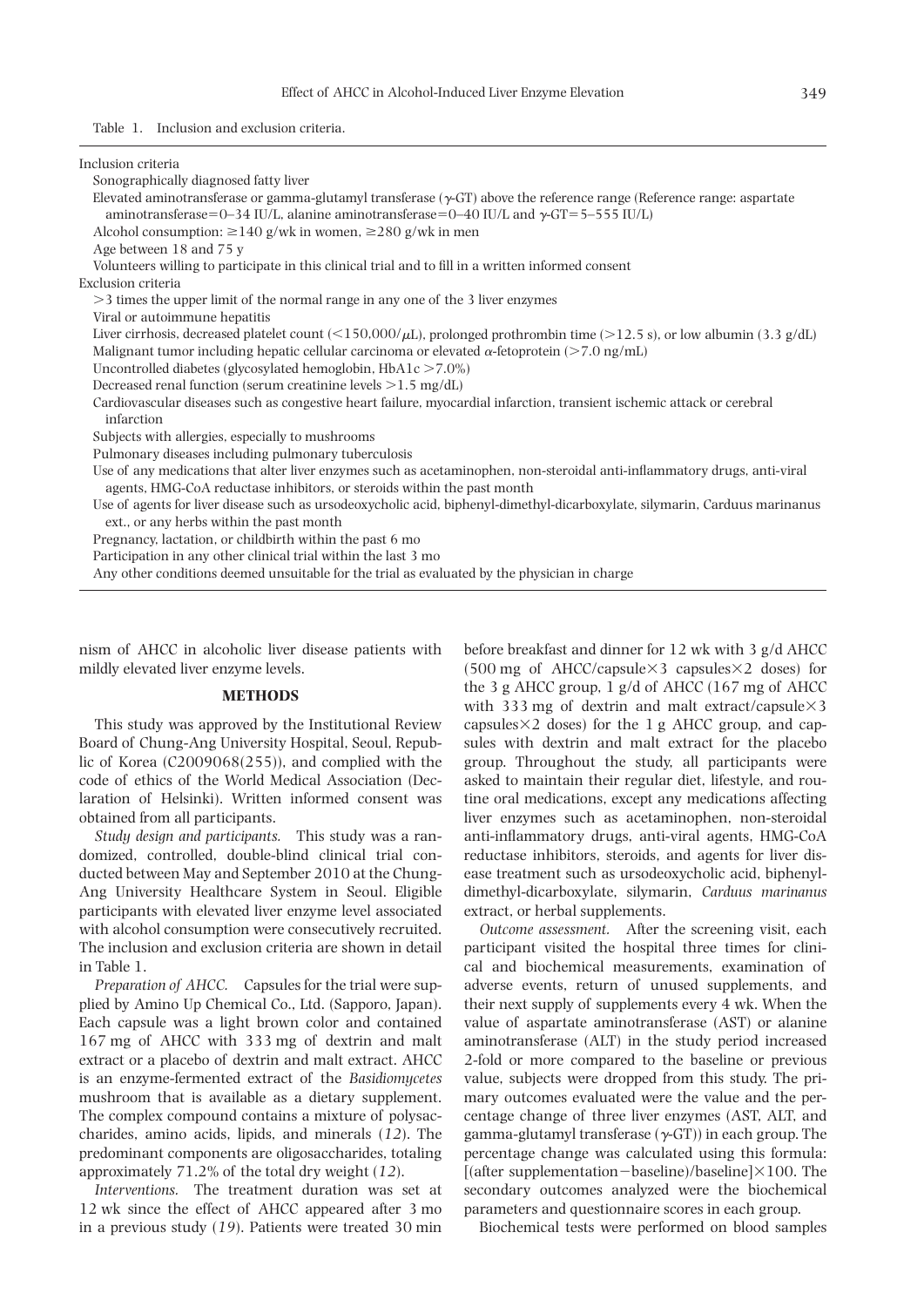Table 1. Inclusion and exclusion criteria.

| Inclusion criteria                                                                                                                                                                                                          |
|-----------------------------------------------------------------------------------------------------------------------------------------------------------------------------------------------------------------------------|
| Sonographically diagnosed fatty liver                                                                                                                                                                                       |
| Elevated aminotransferase or gamma-glutamyl transferase $(\gamma$ -GT) above the reference range (Reference range: aspartate<br>aminotransferase=0-34 IU/L, alanine aminotransferase=0-40 IU/L and $\gamma$ -GT=5-555 IU/L) |
| Alcohol consumption: $\geq$ 140 g/wk in women, $\geq$ 280 g/wk in men                                                                                                                                                       |
| Age between 18 and 75 y                                                                                                                                                                                                     |
| Volunteers willing to participate in this clinical trial and to fill in a written informed consent                                                                                                                          |
| Exclusion criteria                                                                                                                                                                                                          |
| >3 times the upper limit of the normal range in any one of the 3 liver enzymes                                                                                                                                              |
| Viral or autoimmune hepatitis                                                                                                                                                                                               |
| Liver cirrhosis, decreased platelet count (<150,000/ $\mu$ L), prolonged prothrombin time (>12.5 s), or low albumin (3.3 g/dL)                                                                                              |
| Malignant tumor including hepatic cellular carcinoma or elevated $\alpha$ -fetoprotein (>7.0 ng/mL)                                                                                                                         |
| Uncontrolled diabetes (glycosylated hemoglobin, $HbA1c > 7.0\%)$                                                                                                                                                            |
| Decreased renal function (serum creatinine levels $>1.5$ mg/dL)                                                                                                                                                             |
| Cardiovascular diseases such as congestive heart failure, myocardial infarction, transient ischemic attack or cerebral                                                                                                      |
| infarction                                                                                                                                                                                                                  |
| Subjects with allergies, especially to mushrooms                                                                                                                                                                            |
| Pulmonary diseases including pulmonary tuberculosis                                                                                                                                                                         |
| Use of any medications that alter liver enzymes such as acetaminophen, non-steroidal anti-inflammatory drugs, anti-viral<br>agents, HMG-CoA reductase inhibitors, or steroids within the past month                         |
| Use of agents for liver disease such as ursodeoxycholic acid, biphenyl-dimethyl-dicarboxylate, silymarin, Carduus marinanus<br>ext., or any herbs within the past month                                                     |
| Pregnancy, lactation, or childbirth within the past 6 mo                                                                                                                                                                    |
| Participation in any other clinical trial within the last 3 mo                                                                                                                                                              |
| Any other conditions deemed unsuitable for the trial as evaluated by the physician in charge                                                                                                                                |

nism of AHCC in alcoholic liver disease patients with mildly elevated liver enzyme levels.

## **METHODS**

This study was approved by the Institutional Review Board of Chung-Ang University Hospital, Seoul, Republic of Korea (C2009068(255)), and complied with the code of ethics of the World Medical Association (Declaration of Helsinki). Written informed consent was obtained from all participants.

*Study design and participants.* This study was a randomized, controlled, double-blind clinical trial conducted between May and September 2010 at the Chung-Ang University Healthcare System in Seoul. Eligible participants with elevated liver enzyme level associated with alcohol consumption were consecutively recruited. The inclusion and exclusion criteria are shown in detail in Table 1.

*Preparation of AHCC.* Capsules for the trial were supplied by Amino Up Chemical Co., Ltd. (Sapporo, Japan). Each capsule was a light brown color and contained 167 mg of AHCC with 333 mg of dextrin and malt extract or a placebo of dextrin and malt extract. AHCC is an enzyme-fermented extract of the *Basidiomycetes* mushroom that is available as a dietary supplement. The complex compound contains a mixture of polysaccharides, amino acids, lipids, and minerals (*12*). The predominant components are oligosaccharides, totaling approximately 71.2% of the total dry weight (*12*).

*Interventions.* The treatment duration was set at 12 wk since the effect of AHCC appeared after 3 mo in a previous study (*19*). Patients were treated 30 min before breakfast and dinner for 12 wk with 3 g/d AHCC  $(500 \text{ mg of }$  AHCC/capsule $\times$ 3 capsules $\times$ 2 doses) for the 3 g AHCC group, 1 g/d of AHCC (167 mg of AHCC with 333 mg of dextrin and malt extract/capsule $\times$ 3 capsules $\times$ 2 doses) for the 1 g AHCC group, and capsules with dextrin and malt extract for the placebo group. Throughout the study, all participants were asked to maintain their regular diet, lifestyle, and routine oral medications, except any medications affecting liver enzymes such as acetaminophen, non-steroidal anti-inflammatory drugs, anti-viral agents, HMG-CoA reductase inhibitors, steroids, and agents for liver disease treatment such as ursodeoxycholic acid, biphenyldimethyl-dicarboxylate, silymarin, *Carduus marinanus*  extract, or herbal supplements.

*Outcome assessment.* After the screening visit, each participant visited the hospital three times for clinical and biochemical measurements, examination of adverse events, return of unused supplements, and their next supply of supplements every 4 wk. When the value of aspartate aminotransferase (AST) or alanine aminotransferase (ALT) in the study period increased 2-fold or more compared to the baseline or previous value, subjects were dropped from this study. The primary outcomes evaluated were the value and the percentage change of three liver enzymes (AST, ALT, and gamma-glutamyl transferase  $(\gamma$ -GT)) in each group. The percentage change was calculated using this formula: [(after supplementation-baseline)/baseline] $\times$ 100. The secondary outcomes analyzed were the biochemical parameters and questionnaire scores in each group.

Biochemical tests were performed on blood samples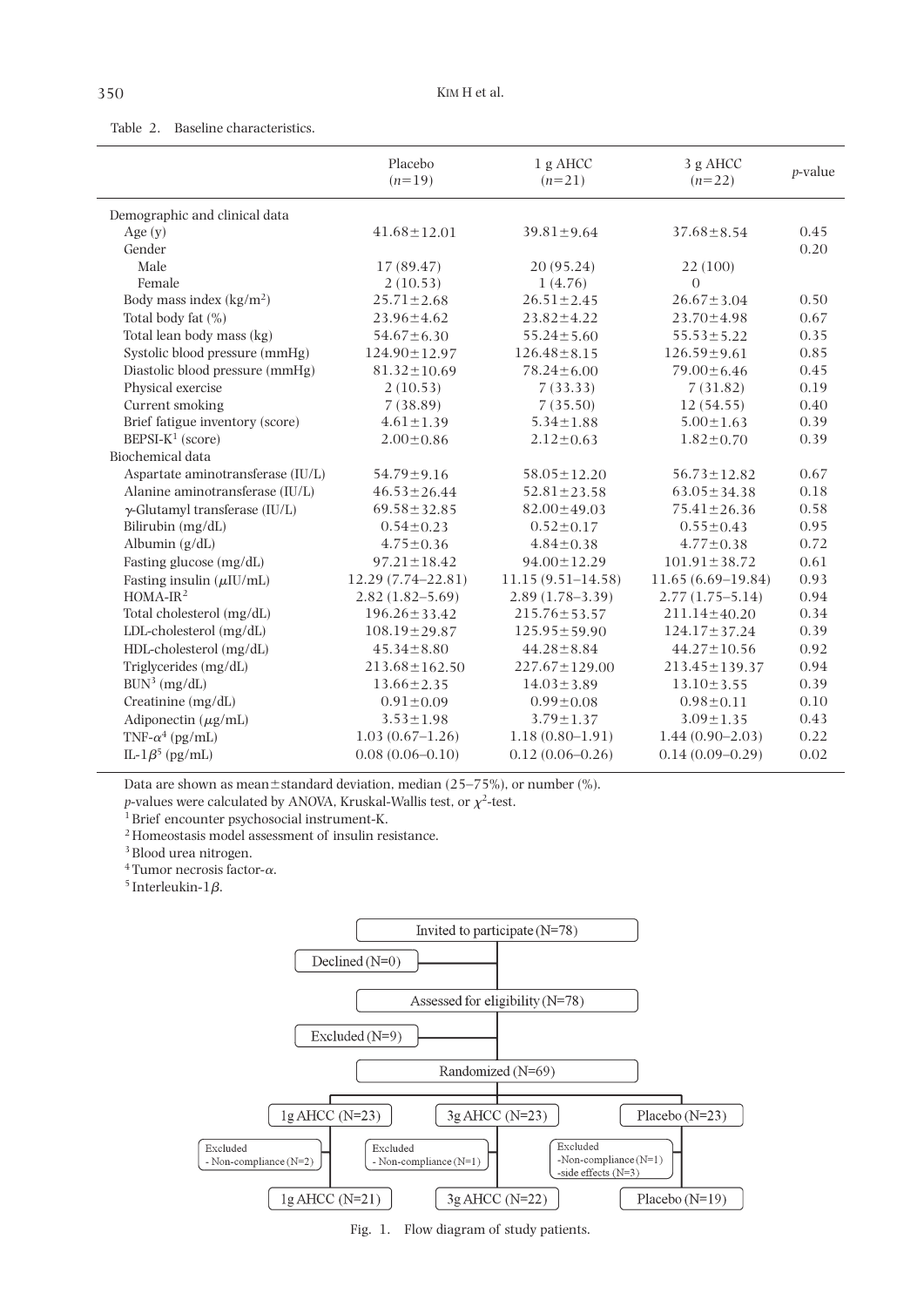# Table 2. Baseline characteristics.

|                                       | Placebo<br>$(n=19)$   | 1 g AHCC<br>$(n=21)$  | 3 g AHCC<br>$(n=22)$ | <i>p</i> -value |
|---------------------------------------|-----------------------|-----------------------|----------------------|-----------------|
| Demographic and clinical data         |                       |                       |                      |                 |
| Age $(y)$                             | $41.68 \pm 12.01$     | $39.81 \pm 9.64$      | $37.68 \pm 8.54$     | 0.45            |
| Gender                                |                       |                       |                      | 0.20            |
| Male                                  | 17(89.47)             | 20(95.24)             | 22 (100)             |                 |
| Female                                | 2(10.53)              | 1(4.76)               | $\Omega$             |                 |
| Body mass index $(kg/m2)$             | $25.71 \pm 2.68$      | $26.51 \pm 2.45$      | $26.67 \pm 3.04$     | 0.50            |
| Total body fat (%)                    | $23.96 \pm 4.62$      | $23.82 \pm 4.22$      | $23.70 \pm 4.98$     | 0.67            |
| Total lean body mass (kg)             | $54.67 \pm 6.30$      | $55.24 \pm 5.60$      | $55.53 \pm 5.22$     | 0.35            |
| Systolic blood pressure (mmHg)        | $124.90 \pm 12.97$    | $126.48 \pm 8.15$     | $126.59 \pm 9.61$    | 0.85            |
| Diastolic blood pressure (mmHg)       | $81.32 \pm 10.69$     | $78.24 \pm 6.00$      | $79.00 \pm 6.46$     | 0.45            |
| Physical exercise                     | 2(10.53)              | 7(33.33)              | 7(31.82)             | 0.19            |
| Current smoking                       | 7(38.89)              | 7(35.50)              | 12(54.55)            | 0.40            |
| Brief fatigue inventory (score)       | $4.61 \pm 1.39$       | $5.34 \pm 1.88$       | $5.00 \pm 1.63$      | 0.39            |
| $BEPSI-K1$ (score)                    | $2.00 \pm 0.86$       | $2.12 \pm 0.63$       | $1.82 \pm 0.70$      | 0.39            |
| Biochemical data                      |                       |                       |                      |                 |
| Aspartate aminotransferase (IU/L)     | $54.79 \pm 9.16$      | $58.05 \pm 12.20$     | $56.73 \pm 12.82$    | 0.67            |
| Alanine aminotransferase (IU/L)       | $46.53 \pm 26.44$     | $52.81 \pm 23.58$     | $63.05 \pm 34.38$    | 0.18            |
| $\gamma$ -Glutamyl transferase (IU/L) | $69.58 \pm 32.85$     | $82.00 \pm 49.03$     | $75.41 \pm 26.36$    | 0.58            |
| Bilirubin (mg/dL)                     | $0.54 \pm 0.23$       | $0.52 \pm 0.17$       | $0.55 \pm 0.43$      | 0.95            |
| Albumin $(g/dL)$                      | $4.75 \pm 0.36$       | $4.84 \pm 0.38$       | $4.77 \pm 0.38$      | 0.72            |
| Fasting glucose (mg/dL)               | $97.21 \pm 18.42$     | $94.00 \pm 12.29$     | $101.91 \pm 38.72$   | 0.61            |
| Fasting insulin $(\mu I U/mL)$        | $12.29(7.74 - 22.81)$ | $11.15(9.51 - 14.58)$ | $11.65(6.69-19.84)$  | 0.93            |
| $HOMA-IR2$                            | $2.82(1.82 - 5.69)$   | $2.89(1.78 - 3.39)$   | $2.77(1.75 - 5.14)$  | 0.94            |
| Total cholesterol (mg/dL)             | $196.26 \pm 33.42$    | $215.76 \pm 53.57$    | $211.14 \pm 40.20$   | 0.34            |
| LDL-cholesterol (mg/dL)               | $108.19 \pm 29.87$    | $125.95 \pm 59.90$    | $124.17 \pm 37.24$   | 0.39            |
| HDL-cholesterol (mg/dL)               | $45.34 \pm 8.80$      | $44.28 \pm 8.84$      | $44.27 \pm 10.56$    | 0.92            |
| Triglycerides (mg/dL)                 | $213.68 \pm 162.50$   | $227.67 \pm 129.00$   | 213.45±139.37        | 0.94            |
| BUN <sup>3</sup> (mg/dL)              | $13.66 \pm 2.35$      | $14.03 \pm 3.89$      | $13.10 \pm 3.55$     | 0.39            |
| Creatinine (mg/dL)                    | $0.91 \pm 0.09$       | $0.99 \pm 0.08$       | $0.98 \pm 0.11$      | 0.10            |
| Adiponectin $(\mu g/mL)$              | $3.53 \pm 1.98$       | $3.79 \pm 1.37$       | $3.09 \pm 1.35$      | 0.43            |
| TNF- $\alpha^4$ (pg/mL)               | $1.03(0.67-1.26)$     | $1.18(0.80-1.91)$     | $1.44(0.90 - 2.03)$  | 0.22            |
| IL-1 $\beta^5$ (pg/mL)                | $0.08(0.06 - 0.10)$   | $0.12(0.06 - 0.26)$   | $0.14(0.09 - 0.29)$  | 0.02            |

Data are shown as mean $\pm$ standard deviation, median (25–75%), or number (%).

*p*-values were calculated by ANOVA, Kruskal-Wallis test, or  $\chi^2$ -test.

<sup>1</sup> Brief encounter psychosocial instrument-K.

 $^{\rm 2}$  Homeostasis model assessment of insulin resistance.

 $^3$  Blood urea nitrogen.

 $^4$  Tumor necrosis factor- $\alpha.$ 

 $^5$  Interleukin-1 $\beta$ .



Fig. 1. Flow diagram of study patients.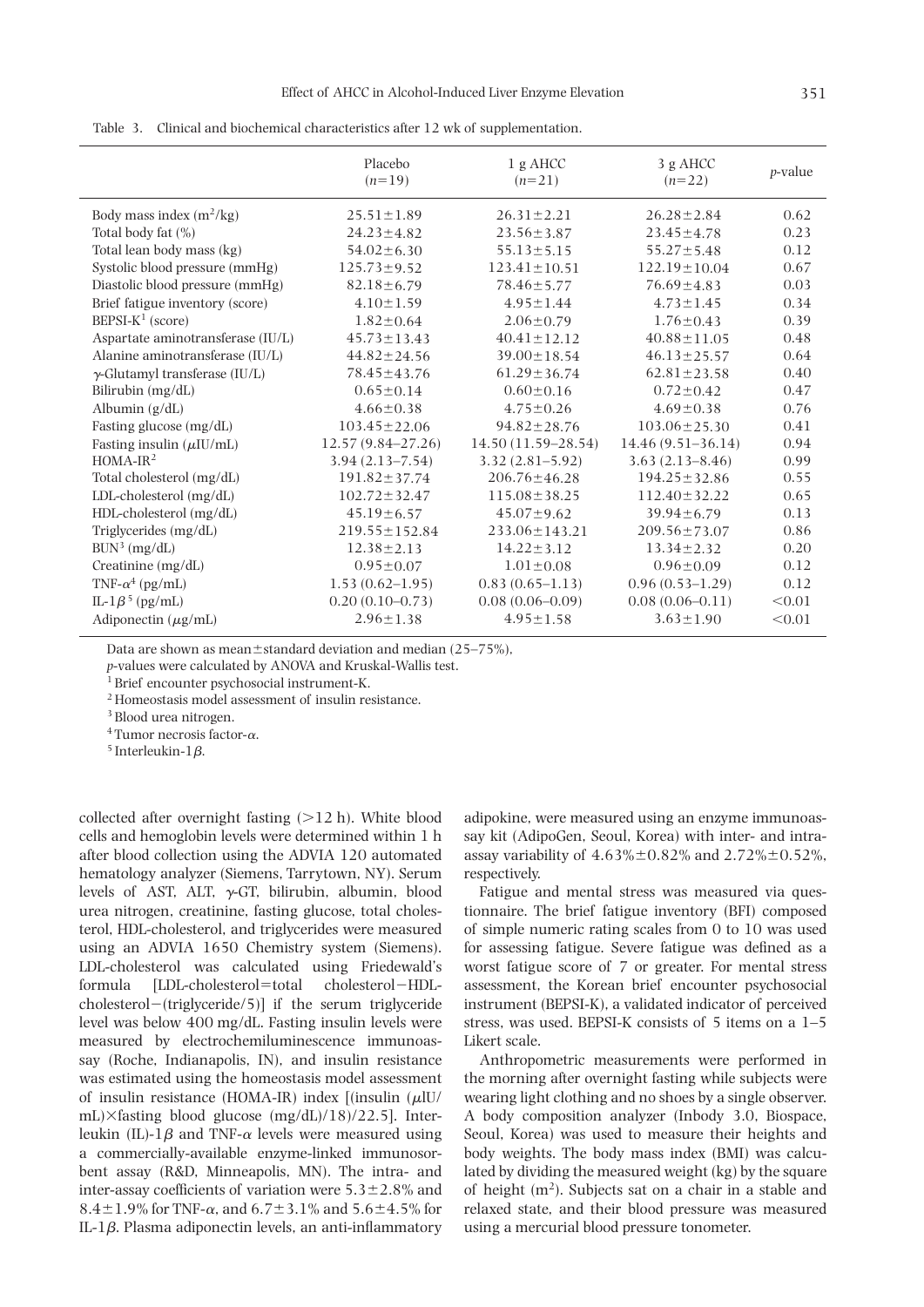| Table 3. Clinical and biochemical characteristics after 12 wk of supplementation. |  |  |
|-----------------------------------------------------------------------------------|--|--|
|                                                                                   |  |  |

|                                       | Placebo<br>$(n=19)$   | $1 g$ AHCC<br>$(n=21)$ | 3 g AHCC<br>$(n=22)$  | <i>p</i> -value |
|---------------------------------------|-----------------------|------------------------|-----------------------|-----------------|
| Body mass index $(m^2/kg)$            | $25.51 \pm 1.89$      | $26.31 \pm 2.21$       | $26.28 \pm 2.84$      | 0.62            |
| Total body fat $(\%)$                 | $24.23 \pm 4.82$      | $23.56 \pm 3.87$       | $23.45 \pm 4.78$      | 0.23            |
| Total lean body mass (kg)             | $54.02 \pm 6.30$      | $55.13 \pm 5.15$       | $55.27 \pm 5.48$      | 0.12            |
| Systolic blood pressure (mmHg)        | $125.73 \pm 9.52$     | $123.41 \pm 10.51$     | $122.19 \pm 10.04$    | 0.67            |
| Diastolic blood pressure (mmHg)       | $82.18 \pm 6.79$      | $78.46 \pm 5.77$       | $76.69 \pm 4.83$      | 0.03            |
| Brief fatigue inventory (score)       | $4.10 \pm 1.59$       | $4.95 \pm 1.44$        | $4.73 \pm 1.45$       | 0.34            |
| BEPSI- $K^1$ (score)                  | $1.82 \pm 0.64$       | $2.06 \pm 0.79$        | $1.76 \pm 0.43$       | 0.39            |
| Aspartate aminotransferase (IU/L)     | $45.73 \pm 13.43$     | $40.41 \pm 12.12$      | $40.88 \pm 11.05$     | 0.48            |
| Alanine aminotransferase (IU/L)       | $44.82 \pm 24.56$     | $39.00 \pm 18.54$      | $46.13 \pm 25.57$     | 0.64            |
| $\gamma$ -Glutamyl transferase (IU/L) | 78.45 ± 43.76         | $61.29 \pm 36.74$      | $62.81 \pm 23.58$     | 0.40            |
| Bilirubin (mg/dL)                     | $0.65 \pm 0.14$       | $0.60 \pm 0.16$        | $0.72 \pm 0.42$       | 0.47            |
| Albumin (g/dL)                        | $4.66 \pm 0.38$       | $4.75 \pm 0.26$        | $4.69 \pm 0.38$       | 0.76            |
| Fasting glucose (mg/dL)               | $103.45 \pm 22.06$    | $94.82 \pm 28.76$      | $103.06 \pm 25.30$    | 0.41            |
| Fasting insulin $(\mu I U/mL)$        | $12.57(9.84 - 27.26)$ | $14.50(11.59-28.54)$   | $14.46(9.51 - 36.14)$ | 0.94            |
| $HOMA-IR2$                            | $3.94(2.13 - 7.54)$   | $3.32(2.81 - 5.92)$    | $3.63(2.13 - 8.46)$   | 0.99            |
| Total cholesterol (mg/dL)             | $191.82 \pm 37.74$    | $206.76 \pm 46.28$     | $194.25 \pm 32.86$    | 0.55            |
| LDL-cholesterol (mg/dL)               | $102.72 \pm 32.47$    | $115.08 \pm 38.25$     | $112.40 \pm 32.22$    | 0.65            |
| HDL-cholesterol (mg/dL)               | $45.19 \pm 6.57$      | $45.07 \pm 9.62$       | $39.94 \pm 6.79$      | 0.13            |
| Triglycerides (mg/dL)                 | $219.55 \pm 152.84$   | $233.06 \pm 143.21$    | $209.56 \pm 73.07$    | 0.86            |
| BUN <sup>3</sup> (mg/dL)              | $12.38 \pm 2.13$      | $14.22 \pm 3.12$       | $13.34 \pm 2.32$      | 0.20            |
| Creatinine (mg/dL)                    | $0.95 \pm 0.07$       | $1.01 \pm 0.08$        | $0.96 \pm 0.09$       | 0.12            |
| TNF- $\alpha^4$ (pg/mL)               | $1.53(0.62 - 1.95)$   | $0.83(0.65 - 1.13)$    | $0.96(0.53-1.29)$     | 0.12            |
| IL-1 $\beta$ <sup>5</sup> (pg/mL)     | $0.20(0.10-0.73)$     | $0.08(0.06 - 0.09)$    | $0.08(0.06 - 0.11)$   | < 0.01          |
| Adiponectin $(\mu g/mL)$              | $2.96 \pm 1.38$       | $4.95 \pm 1.58$        | $3.63 \pm 1.90$       | < 0.01          |

Data are shown as mean $\pm$ standard deviation and median (25–75%),

*p*-values were calculated by ANOVA and Kruskal-Wallis test.

<sup>1</sup> Brief encounter psychosocial instrument-K.

<sup>2</sup> Homeostasis model assessment of insulin resistance.

<sup>3</sup> Blood urea nitrogen.

<sup>4</sup> Tumor necrosis factor- $\alpha$ .

<sup>5</sup> Interleukin-1 $\beta$ .

collected after overnight fasting  $(>12 \text{ h})$ . White blood cells and hemoglobin levels were determined within 1 h after blood collection using the ADVIA 120 automated hematology analyzer (Siemens, Tarrytown, NY). Serum levels of AST, ALT,  $\gamma$ -GT, bilirubin, albumin, blood urea nitrogen, creatinine, fasting glucose, total cholesterol, HDL-cholesterol, and triglycerides were measured using an ADVIA 1650 Chemistry system (Siemens). LDL-cholesterol was calculated using Friedewald's formula [LDL-cholesterol=total cholesterol-HDL $cholesterol-(triglyceride/5)]$  if the serum triglyceride level was below 400 mg/dL. Fasting insulin levels were measured by electrochemiluminescence immunoassay (Roche, Indianapolis, IN), and insulin resistance was estimated using the homeostasis model assessment of insulin resistance (HOMA-IR) index  $\lceil$ (insulin  $\mu$ IU/ mL) $\times$ fasting blood glucose (mg/dL)/18)/22.5]. Interleukin (IL)-1 $\beta$  and TNF- $\alpha$  levels were measured using a commercially-available enzyme-linked immunosorbent assay (R&D, Minneapolis, MN). The intra- and inter-assay coefficients of variation were  $5.3\pm2.8\%$  and 8.4 $\pm$ 1.9% for TNF- $\alpha$ , and 6.7 $\pm$ 3.1% and 5.6 $\pm$ 4.5% for IL-1 $\beta$ . Plasma adiponectin levels, an anti-inflammatory

adipokine, were measured using an enzyme immunoassay kit (AdipoGen, Seoul, Korea) with inter- and intraassay variability of  $4.63\% \pm 0.82\%$  and  $2.72\% \pm 0.52\%$ , respectively.

Fatigue and mental stress was measured via questionnaire. The brief fatigue inventory (BFI) composed of simple numeric rating scales from 0 to 10 was used for assessing fatigue. Severe fatigue was defined as a worst fatigue score of 7 or greater. For mental stress assessment, the Korean brief encounter psychosocial instrument (BEPSI-K), a validated indicator of perceived stress, was used. BEPSI-K consists of 5 items on a 1–5 Likert scale.

Anthropometric measurements were performed in the morning after overnight fasting while subjects were wearing light clothing and no shoes by a single observer. A body composition analyzer (Inbody 3.0, Biospace, Seoul, Korea) was used to measure their heights and body weights. The body mass index (BMI) was calculated by dividing the measured weight (kg) by the square of height  $(m^2)$ . Subjects sat on a chair in a stable and relaxed state, and their blood pressure was measured using a mercurial blood pressure tonometer.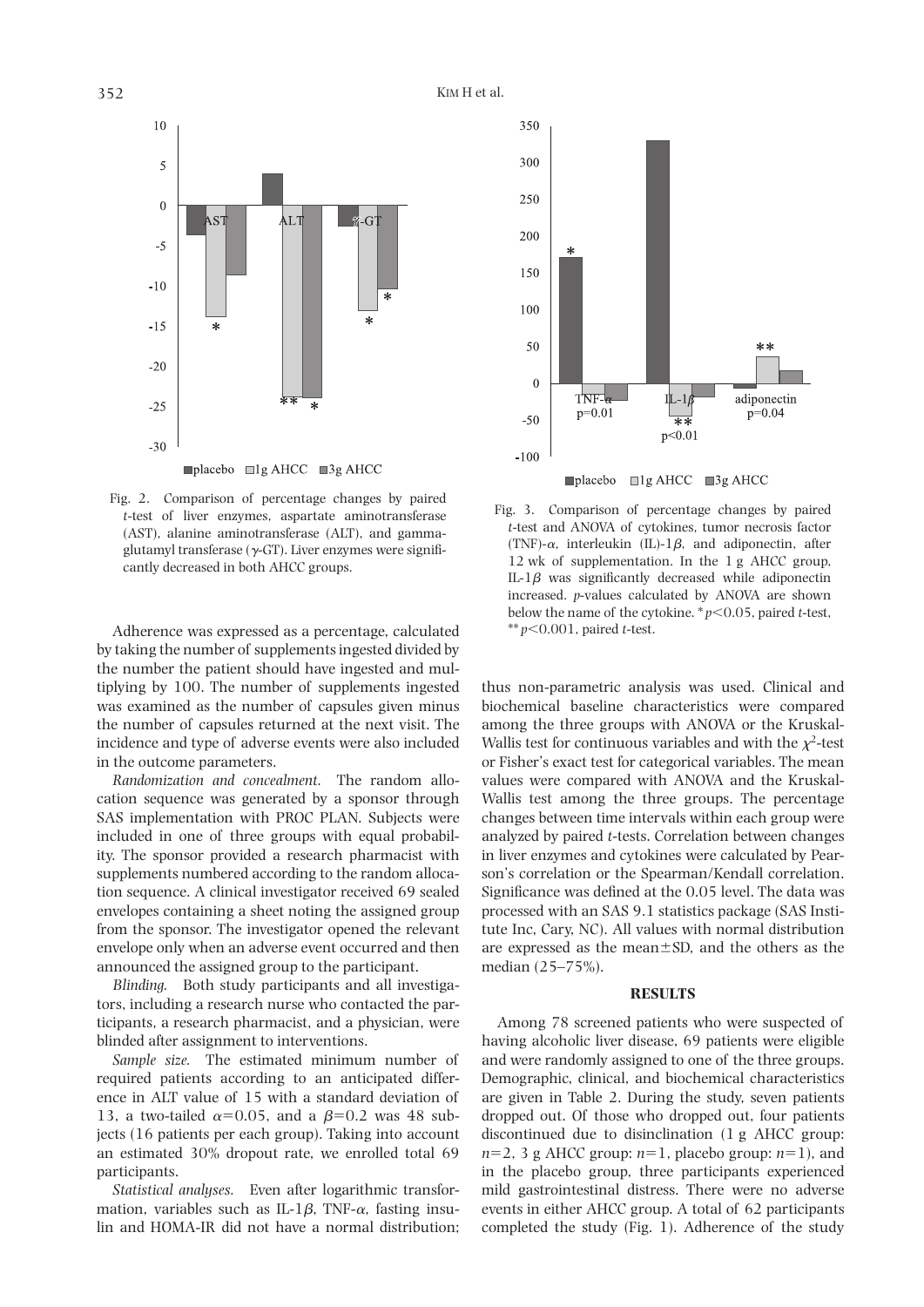

Fig. 2. Comparison of percentage changes by paired *t*-test of liver enzymes, aspartate aminotransferase (AST), alanine aminotransferase (ALT), and gammaglutamyl transferase  $(\gamma$ -GT). Liver enzymes were significantly decreased in both AHCC groups.

Adherence was expressed as a percentage, calculated by taking the number of supplements ingested divided by the number the patient should have ingested and multiplying by 100. The number of supplements ingested was examined as the number of capsules given minus the number of capsules returned at the next visit. The incidence and type of adverse events were also included in the outcome parameters.

*Randomization and concealment.* The random allocation sequence was generated by a sponsor through SAS implementation with PROC PLAN. Subjects were included in one of three groups with equal probability. The sponsor provided a research pharmacist with supplements numbered according to the random allocation sequence. A clinical investigator received 69 sealed envelopes containing a sheet noting the assigned group from the sponsor. The investigator opened the relevant envelope only when an adverse event occurred and then announced the assigned group to the participant.

*Blinding.* Both study participants and all investigators, including a research nurse who contacted the participants, a research pharmacist, and a physician, were blinded after assignment to interventions.

*Sample size.* The estimated minimum number of required patients according to an anticipated difference in ALT value of 15 with a standard deviation of 13, a two-tailed  $\alpha$ =0.05, and a  $\beta$ =0.2 was 48 subjects (16 patients per each group). Taking into account an estimated 30% dropout rate, we enrolled total 69 participants.

*Statistical analyses.* Even after logarithmic transformation, variables such as IL-1 $\beta$ , TNF- $\alpha$ , fasting insulin and HOMA-IR did not have a normal distribution;



Fig. 3. Comparison of percentage changes by paired *t*-test and ANOVA of cytokines, tumor necrosis factor (TNF)- $\alpha$ , interleukin (IL)-1 $\beta$ , and adiponectin, after 12 wk of supplementation. In the 1 g AHCC group, IL-1 $\beta$  was significantly decreased while adiponectin increased. *p*-values calculated by ANOVA are shown below the name of the cytokine.  $p<0.05$ , paired *t*-test, \*\* *p*,0.001, paired *t*-test.

thus non-parametric analysis was used. Clinical and biochemical baseline characteristics were compared among the three groups with ANOVA or the Kruskal-Wallis test for continuous variables and with the  $\chi^2$ -test or Fisher's exact test for categorical variables. The mean values were compared with ANOVA and the Kruskal-Wallis test among the three groups. The percentage changes between time intervals within each group were analyzed by paired *t*-tests. Correlation between changes in liver enzymes and cytokines were calculated by Pearson's correlation or the Spearman/Kendall correlation. Significance was defined at the 0.05 level. The data was processed with an SAS 9.1 statistics package (SAS Institute Inc, Cary, NC). All values with normal distribution are expressed as the mean $\pm$ SD, and the others as the median (25–75%).

## **RESULTS**

Among 78 screened patients who were suspected of having alcoholic liver disease, 69 patients were eligible and were randomly assigned to one of the three groups. Demographic, clinical, and biochemical characteristics are given in Table 2. During the study, seven patients dropped out. Of those who dropped out, four patients discontinued due to disinclination (1 g AHCC group:  $n=2$ , 3 g AHCC group:  $n=1$ , placebo group:  $n=1$ ), and in the placebo group, three participants experienced mild gastrointestinal distress. There were no adverse events in either AHCC group. A total of 62 participants completed the study (Fig. 1). Adherence of the study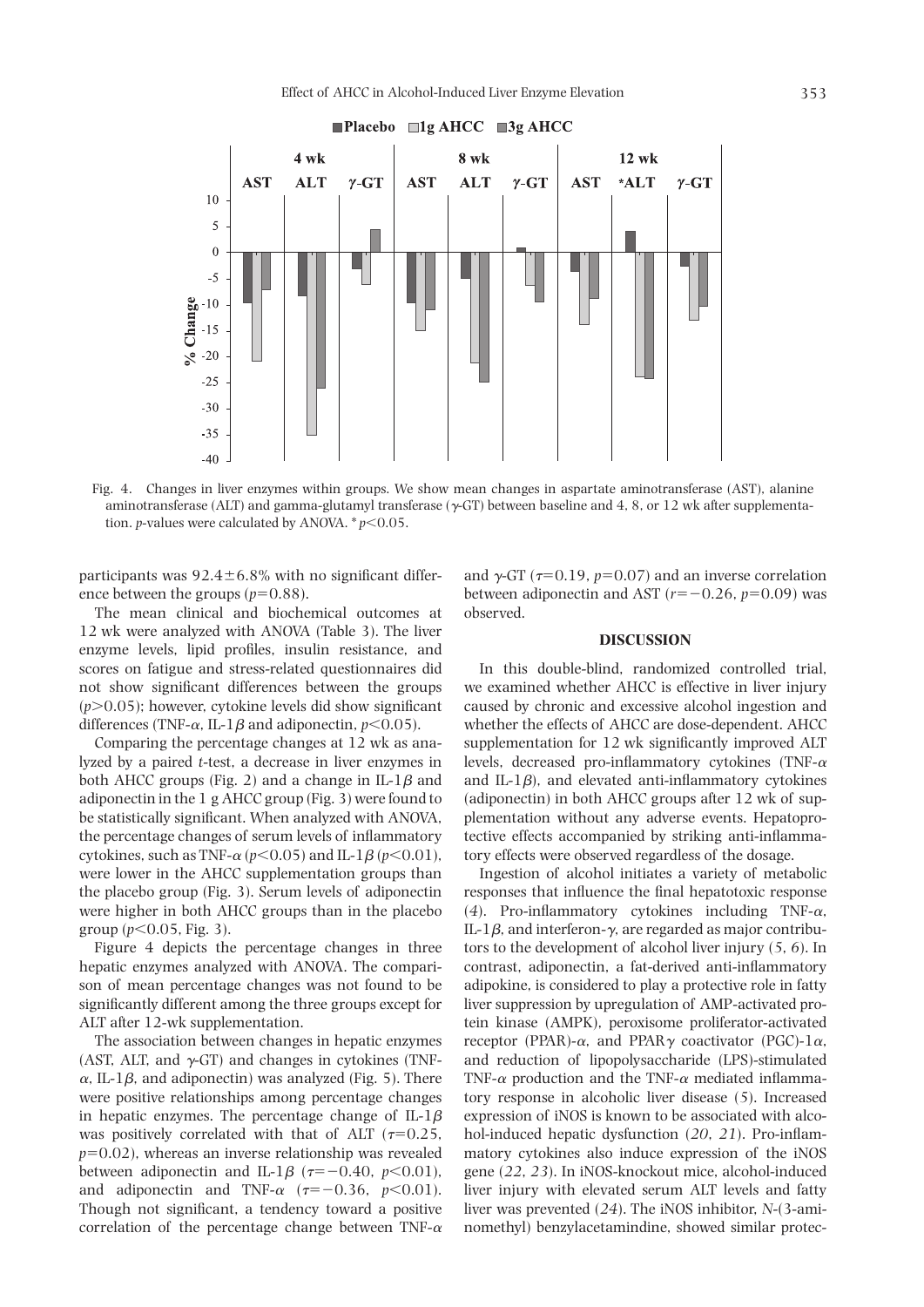

Fig. 4. Changes in liver enzymes within groups. We show mean changes in aspartate aminotransferase (AST), alanine aminotransferase (ALT) and gamma-glutamyl transferase ( $\gamma$ -GT) between baseline and 4, 8, or 12 wk after supplementation. *p*-values were calculated by ANOVA.  $* p \leq 0.05$ .

participants was  $92.4 \pm 6.8\%$  with no significant difference between the groups  $(p=0.88)$ .

The mean clinical and biochemical outcomes at 12 wk were analyzed with ANOVA (Table 3). The liver enzyme levels, lipid profiles, insulin resistance, and scores on fatigue and stress-related questionnaires did not show significant differences between the groups  $(p>0.05)$ ; however, cytokine levels did show significant differences (TNF- $\alpha$ , IL-1 $\beta$  and adiponectin, *p*<0.05).

Comparing the percentage changes at 12 wk as analyzed by a paired *t*-test, a decrease in liver enzymes in both AHCC groups (Fig. 2) and a change in IL-1 $\beta$  and adiponectin in the 1 g AHCC group (Fig. 3) were found to be statistically significant. When analyzed with ANOVA, the percentage changes of serum levels of inflammatory cytokines, such as TNF- $\alpha$  ( $p$ <0.05) and IL-1 $\beta$  ( $p$ <0.01), were lower in the AHCC supplementation groups than the placebo group (Fig. 3). Serum levels of adiponectin were higher in both AHCC groups than in the placebo group ( $p$ <0.05, Fig. 3).

Figure 4 depicts the percentage changes in three hepatic enzymes analyzed with ANOVA. The comparison of mean percentage changes was not found to be significantly different among the three groups except for ALT after 12-wk supplementation.

The association between changes in hepatic enzymes (AST, ALT, and  $\gamma$ -GT) and changes in cytokines (TNF- $\alpha$ , IL-1 $\beta$ , and adiponectin) was analyzed (Fig. 5). There were positive relationships among percentage changes in hepatic enzymes. The percentage change of  $IL-1\beta$ was positively correlated with that of ALT ( $\tau$ =0.25,  $p=0.02$ ), whereas an inverse relationship was revealed between adiponectin and IL-1 $\beta$  ( $\tau = -0.40$ ,  $p < 0.01$ ), and adiponectin and TNF- $\alpha$  ( $\tau = -0.36$ ,  $p < 0.01$ ). Though not significant, a tendency toward a positive correlation of the percentage change between TNF- $\alpha$ 

and  $\gamma$ -GT ( $\tau$ =0.19,  $p$ =0.07) and an inverse correlation between adiponectin and AST  $(r=-0.26, p=0.09)$  was observed.

#### **DISCUSSION**

In this double-blind, randomized controlled trial, we examined whether AHCC is effective in liver injury caused by chronic and excessive alcohol ingestion and whether the effects of AHCC are dose-dependent. AHCC supplementation for 12 wk significantly improved ALT levels, decreased pro-inflammatory cytokines (TNF- $\alpha$ ) and IL-1 $\beta$ ), and elevated anti-inflammatory cytokines (adiponectin) in both AHCC groups after 12 wk of supplementation without any adverse events. Hepatoprotective effects accompanied by striking anti-inflammatory effects were observed regardless of the dosage.

Ingestion of alcohol initiates a variety of metabolic responses that influence the final hepatotoxic response (4). Pro-inflammatory cytokines including TNF- $\alpha$ , IL-1 $\beta$ , and interferon- $\gamma$ , are regarded as major contributors to the development of alcohol liver injury (*5*, *6*). In contrast, adiponectin, a fat-derived anti-inflammatory adipokine, is considered to play a protective role in fatty liver suppression by upregulation of AMP-activated protein kinase (AMPK), peroxisome proliferator-activated receptor (PPAR)- $\alpha$ , and PPAR $\gamma$  coactivator (PGC)-1 $\alpha$ , and reduction of lipopolysaccharide (LPS)-stimulated TNF- $\alpha$  production and the TNF- $\alpha$  mediated inflammatory response in alcoholic liver disease (*5*). Increased expression of iNOS is known to be associated with alcohol-induced hepatic dysfunction (*20*, *21*). Pro-inflammatory cytokines also induce expression of the iNOS gene (*22*, *23*). In iNOS-knockout mice, alcohol-induced liver injury with elevated serum ALT levels and fatty liver was prevented (*24*). The iNOS inhibitor, *N*-(3-aminomethyl) benzylacetamindine, showed similar protec-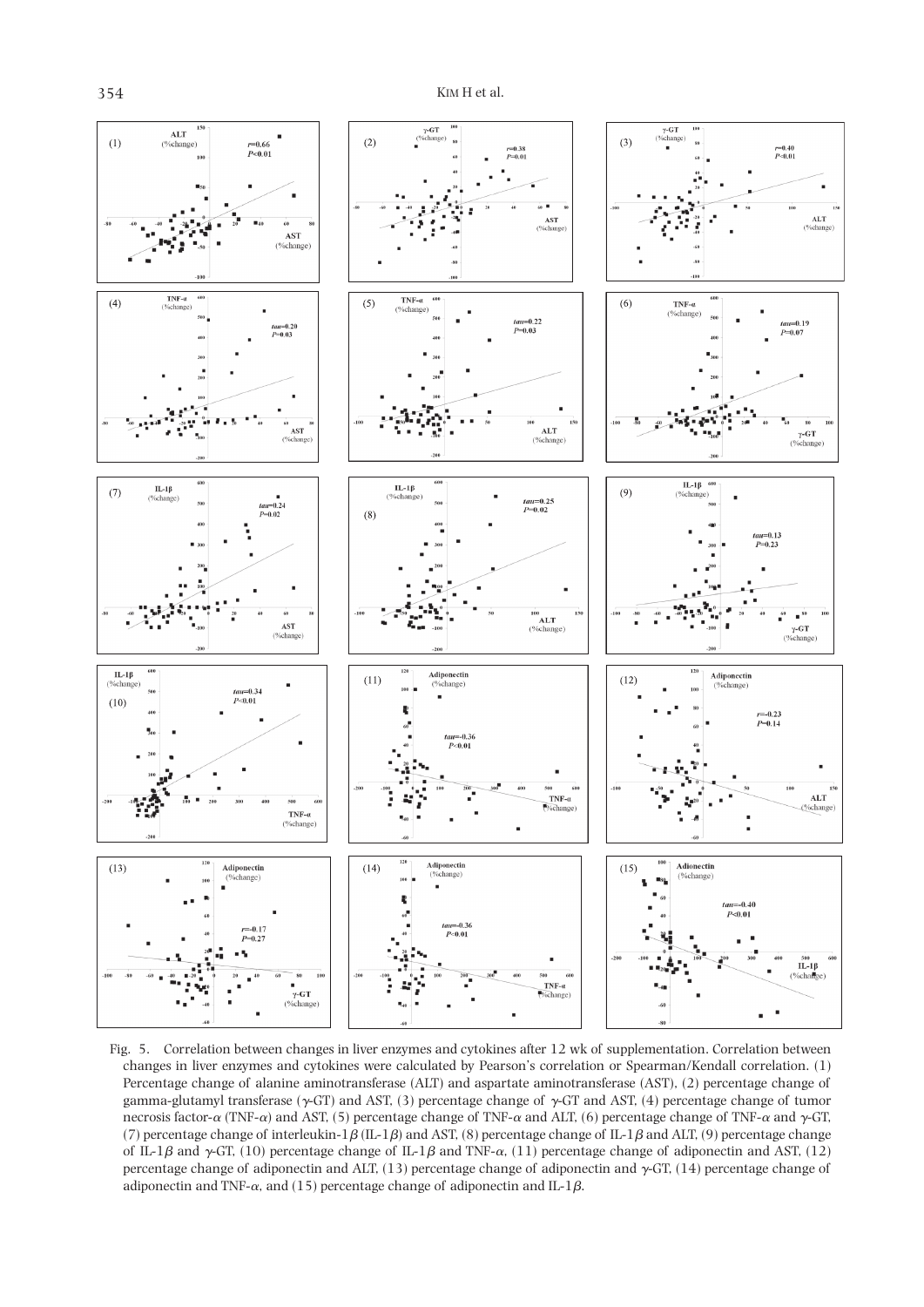

Fig. 5. Correlation between changes in liver enzymes and cytokines after 12 wk of supplementation. Correlation between changes in liver enzymes and cytokines were calculated by Pearson's correlation or Spearman/Kendall correlation. (1) Percentage change of alanine aminotransferase (ALT) and aspartate aminotransferase (AST), (2) percentage change of gamma-glutamyl transferase ( $\gamma$ -GT) and AST, (3) percentage change of  $\gamma$ -GT and AST, (4) percentage change of tumor necrosis factor- $\alpha$  (TNF- $\alpha$ ) and AST, (5) percentage change of TNF- $\alpha$  and ALT, (6) percentage change of TNF- $\alpha$  and  $\gamma$ -GT, (7) percentage change of interleukin-1 $\beta$  (IL-1 $\beta$ ) and AST, (8) percentage change of IL-1 $\beta$  and ALT, (9) percentage change of IL-1 $\beta$  and  $\gamma$ -GT, (10) percentage change of IL-1 $\beta$  and TNF- $\alpha$ , (11) percentage change of adiponectin and AST, (12) percentage change of adiponectin and ALT, (13) percentage change of adiponectin and  $\gamma$ -GT, (14) percentage change of adiponectin and TNF- $\alpha$ , and (15) percentage change of adiponectin and IL-1 $\beta$ .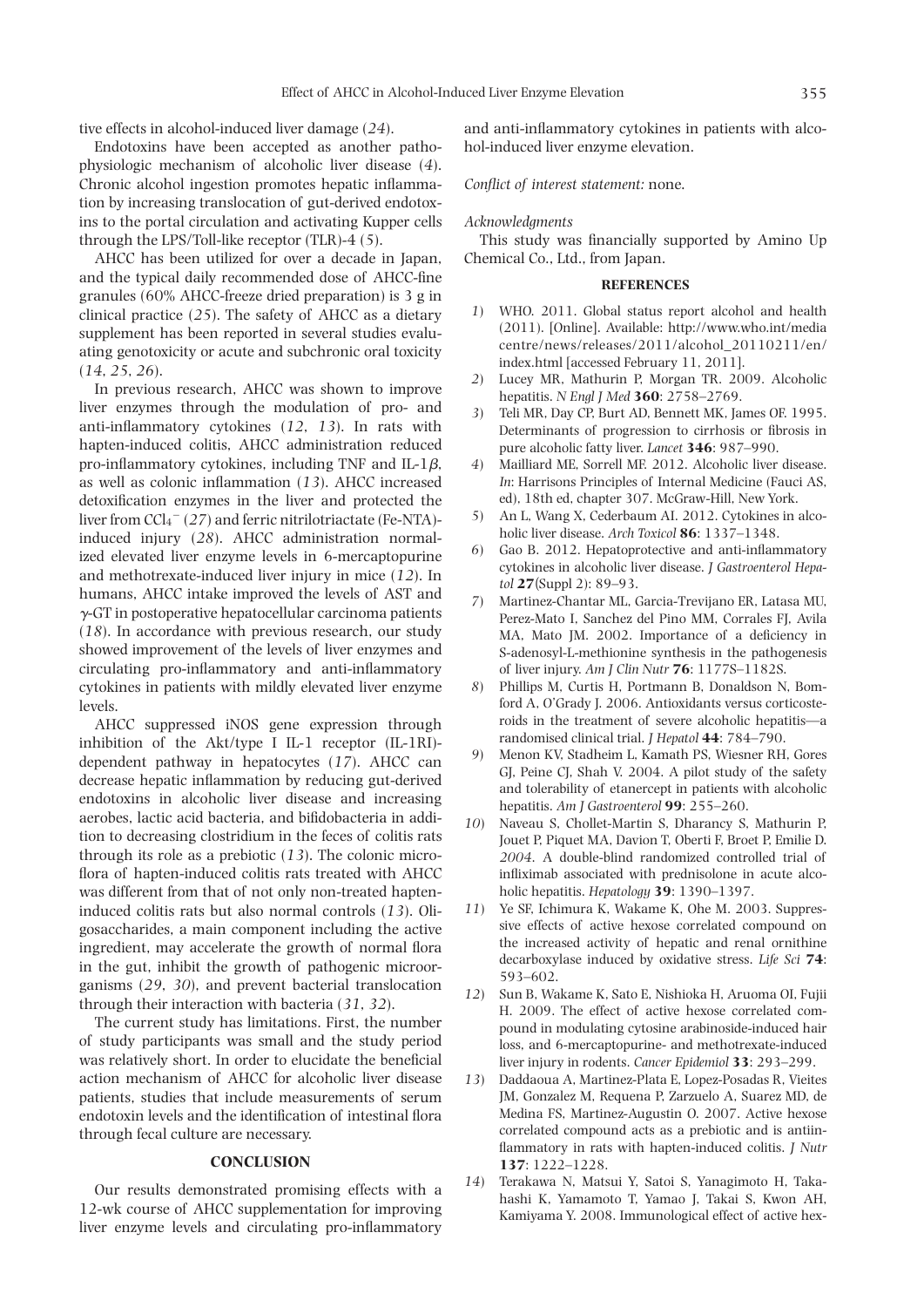tive effects in alcohol-induced liver damage (*24*).

Endotoxins have been accepted as another pathophysiologic mechanism of alcoholic liver disease (*4*). Chronic alcohol ingestion promotes hepatic inflammation by increasing translocation of gut-derived endotoxins to the portal circulation and activating Kupper cells through the LPS/Toll-like receptor (TLR)-4 (*5*).

AHCC has been utilized for over a decade in Japan, and the typical daily recommended dose of AHCC-fine granules (60% AHCC-freeze dried preparation) is 3 g in clinical practice (*25*). The safety of AHCC as a dietary supplement has been reported in several studies evaluating genotoxicity or acute and subchronic oral toxicity (*14*, *25*, *26*).

In previous research, AHCC was shown to improve liver enzymes through the modulation of pro- and anti-inflammatory cytokines (*12*, *13*). In rats with hapten-induced colitis, AHCC administration reduced pro-inflammatory cytokines, including TNF and  $IL-1\beta$ , as well as colonic inflammation (*13*). AHCC increased detoxification enzymes in the liver and protected the liver from CCl<sub>4</sub><sup>-</sup> (27) and ferric nitrilotriactate (Fe-NTA)induced injury (*28*). AHCC administration normalized elevated liver enzyme levels in 6-mercaptopurine and methotrexate-induced liver injury in mice (*12*). In humans, AHCC intake improved the levels of AST and  $\gamma$ -GT in postoperative hepatocellular carcinoma patients (*18*). In accordance with previous research, our study showed improvement of the levels of liver enzymes and circulating pro-inflammatory and anti-inflammatory cytokines in patients with mildly elevated liver enzyme levels.

AHCC suppressed iNOS gene expression through inhibition of the Akt/type I IL-1 receptor (IL-1RI) dependent pathway in hepatocytes (*17*). AHCC can decrease hepatic inflammation by reducing gut-derived endotoxins in alcoholic liver disease and increasing aerobes, lactic acid bacteria, and bifidobacteria in addition to decreasing clostridium in the feces of colitis rats through its role as a prebiotic (*13*). The colonic microflora of hapten-induced colitis rats treated with AHCC was different from that of not only non-treated hapteninduced colitis rats but also normal controls (*13*). Oligosaccharides, a main component including the active ingredient, may accelerate the growth of normal flora in the gut, inhibit the growth of pathogenic microorganisms (*29*, *30*), and prevent bacterial translocation through their interaction with bacteria (*31*, *32*).

The current study has limitations. First, the number of study participants was small and the study period was relatively short. In order to elucidate the beneficial action mechanism of AHCC for alcoholic liver disease patients, studies that include measurements of serum endotoxin levels and the identification of intestinal flora through fecal culture are necessary.

## **CONCLUSION**

Our results demonstrated promising effects with a 12-wk course of AHCC supplementation for improving liver enzyme levels and circulating pro-inflammatory

and anti-inflammatory cytokines in patients with alcohol-induced liver enzyme elevation.

#### *Conflict of interest statement:* none.

#### *Acknowledgments*

This study was financially supported by Amino Up Chemical Co., Ltd., from Japan.

#### **REFERENCES**

- *1*) WHO. 2011. Global status report alcohol and health (2011). [Online]. Available: http://www.who.int/media centre/news/releases/2011/alcohol\_20110211/en/ index.html [accessed February 11, 2011].
- *2*) Lucey MR, Mathurin P, Morgan TR. 2009. Alcoholic hepatitis. *N Engl J Med* **360**: 2758–2769.
- *3*) Teli MR, Day CP, Burt AD, Bennett MK, James OF. 1995. Determinants of progression to cirrhosis or fibrosis in pure alcoholic fatty liver. *Lancet* **346**: 987–990.
- *4*) Mailliard ME, Sorrell MF. 2012. Alcoholic liver disease. *In*: Harrisons Principles of Internal Medicine (Fauci AS, ed), 18th ed, chapter 307. McGraw-Hill, New York.
- *5*) An L, Wang X, Cederbaum AI. 2012. Cytokines in alcoholic liver disease. *Arch Toxicol* **86**: 1337–1348.
- *6*) Gao B. 2012. Hepatoprotective and anti-inflammatory cytokines in alcoholic liver disease. *J Gastroenterol Hepatol* **27**(Suppl 2): 89–93.
- *7*) Martinez-Chantar ML, Garcia-Trevijano ER, Latasa MU, Perez-Mato I, Sanchez del Pino MM, Corrales FJ, Avila MA, Mato JM. 2002. Importance of a deficiency in S-adenosyl-L-methionine synthesis in the pathogenesis of liver injury. *Am J Clin Nutr* **76**: 1177S–1182S.
- *8*) Phillips M, Curtis H, Portmann B, Donaldson N, Bomford A, O'Grady J. 2006. Antioxidants versus corticosteroids in the treatment of severe alcoholic hepatitis—a randomised clinical trial. *J Hepatol* **44**: 784–790.
- *9*) Menon KV, Stadheim L, Kamath PS, Wiesner RH, Gores GJ, Peine CJ, Shah V. 2004. A pilot study of the safety and tolerability of etanercept in patients with alcoholic hepatitis. *Am J Gastroenterol* **99**: 255–260.
- *10*) Naveau S, Chollet-Martin S, Dharancy S, Mathurin P, Jouet P, Piquet MA, Davion T, Oberti F, Broet P, Emilie D. *2004*. A double-blind randomized controlled trial of infliximab associated with prednisolone in acute alcoholic hepatitis. *Hepatology* **39**: 1390–1397.
- *11*) Ye SF, Ichimura K, Wakame K, Ohe M. 2003. Suppressive effects of active hexose correlated compound on the increased activity of hepatic and renal ornithine decarboxylase induced by oxidative stress. *Life Sci* **74**: 593–602.
- *12*) Sun B, Wakame K, Sato E, Nishioka H, Aruoma OI, Fujii H. 2009. The effect of active hexose correlated compound in modulating cytosine arabinoside-induced hair loss, and 6-mercaptopurine- and methotrexate-induced liver injury in rodents. *Cancer Epidemiol* **33**: 293–299.
- *13*) Daddaoua A, Martinez-Plata E, Lopez-Posadas R, Vieites JM, Gonzalez M, Requena P, Zarzuelo A, Suarez MD, de Medina FS, Martinez-Augustin O. 2007. Active hexose correlated compound acts as a prebiotic and is antiinflammatory in rats with hapten-induced colitis. *J Nutr*  **137**: 1222–1228.
- *14*) Terakawa N, Matsui Y, Satoi S, Yanagimoto H, Takahashi K, Yamamoto T, Yamao J, Takai S, Kwon AH, Kamiyama Y. 2008. Immunological effect of active hex-